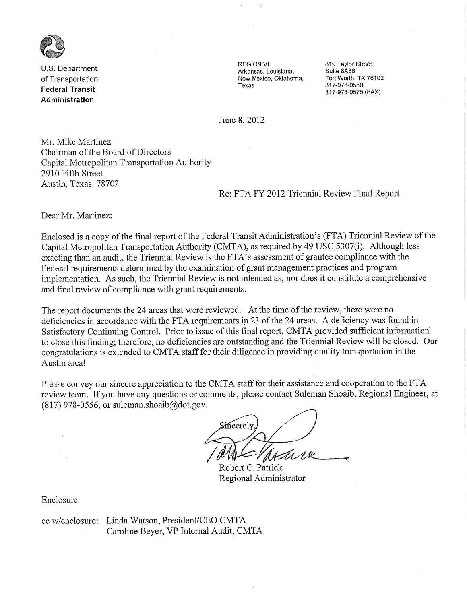

U.S. Department. of Transportation **Federal Transit** Administration

**REGION VI** Arkansas, Louisiana, New Mexico, Oklahoma, Texas

819 Taylor Street Suite 8A36 Fort Worth, TX 76102 817-978-0550 817-978-0575 (FAX)

June 8, 2012

Mr. Mike Martinez Chairman of the Board of Directors Capital Metropolitan Transportation Authority 2910 Fifth Street Austin, Texas 78702

Re: FTA FY 2012 Triennial Review Final Report

Dear Mr. Martinez:

Enclosed is a copy of the final report of the Federal Transit Administration's (FTA) Triennial Review of the Capital Metropolitan Transportation Authority (CMTA), as required by 49 USC 5307(i). Although less exacting than an audit, the Triennial Review is the FTA's assessment of grantee compliance with the Federal requirements determined by the examination of grant management practices and program implementation. As such, the Triennial Review is not intended as, nor does it constitute a comprehensive and final review of compliance with grant requirements.

The report documents the 24 areas that were reviewed. At the time of the review, there were no deficiencies in accordance with the FTA requirements in 23 of the 24 areas. A deficiency was found in Satisfactory Continuing Control. Prior to issue of this final report, CMTA provided sufficient information to close this finding; therefore, no deficiencies are outstanding and the Triennial Review will be closed. Our congratulations is extended to CMTA staff for their diligence in providing quality transportation in the Austin area!

Please convey our sincere appreciation to the CMTA staff for their assistance and cooperation to the FTA review team. If you have any questions or comments, please contact Suleman Shoaib, Regional Engineer, at  $(817)$  978-0556, or suleman.shoaib@dot.gov.

Fincerely

Robert C. Patrick Regional Administrator

Enclosure

cc w/enclosure: Linda Watson, President/CEO CMTA Caroline Beyer, VP Internal Audit, CMTA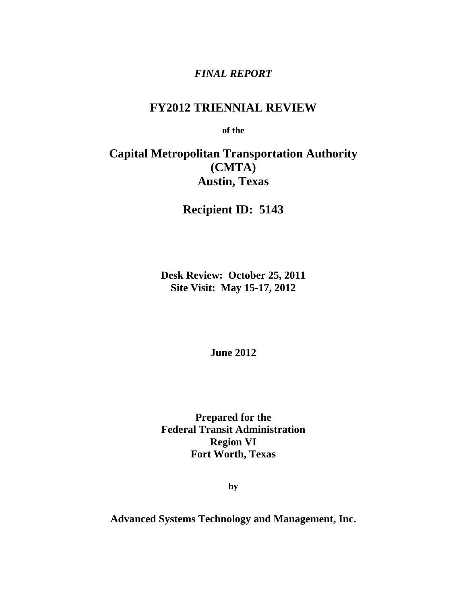# *FINAL REPORT*

# **FY2012 TRIENNIAL REVIEW**

**of the** 

# **Capital Metropolitan Transportation Authority (CMTA) Austin, Texas**

**Recipient ID: 5143**

**Desk Review: October 25, 2011 Site Visit: May 15-17, 2012**

**June 2012** 

**Prepared for the Federal Transit Administration Region VI Fort Worth, Texas**

**by** 

**Advanced Systems Technology and Management, Inc.**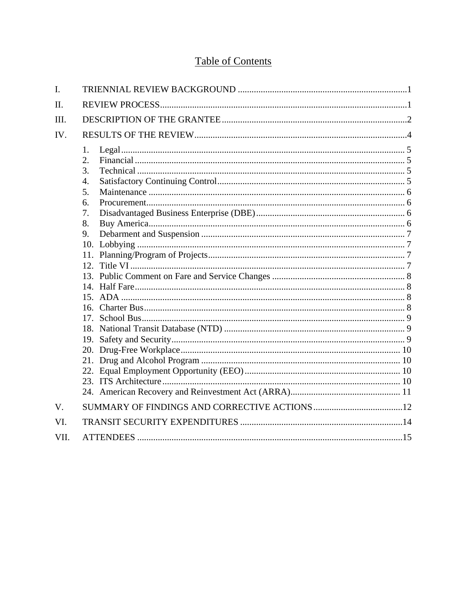# **Table of Contents**

| I.          |                                                    |  |  |  |  |
|-------------|----------------------------------------------------|--|--|--|--|
| II.         |                                                    |  |  |  |  |
| III.        |                                                    |  |  |  |  |
| IV.         |                                                    |  |  |  |  |
|             | 1.<br>2.<br>3.<br>4.<br>5.<br>6.<br>7.<br>8.<br>9. |  |  |  |  |
| $V_{\cdot}$ |                                                    |  |  |  |  |
| VI.         |                                                    |  |  |  |  |
| VII.        |                                                    |  |  |  |  |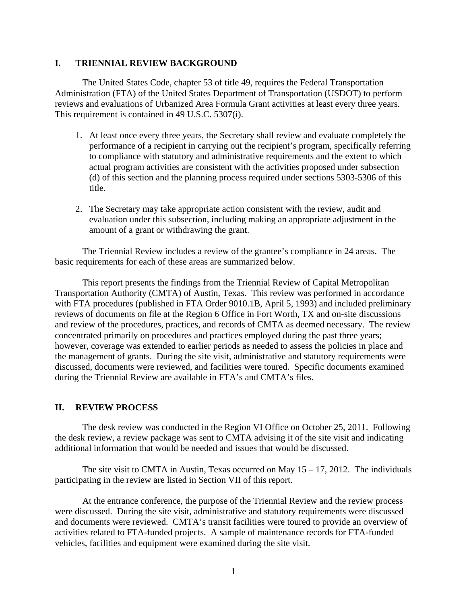#### **I. TRIENNIAL REVIEW BACKGROUND**

The United States Code, chapter 53 of title 49, requires the Federal Transportation Administration (FTA) of the United States Department of Transportation (USDOT) to perform reviews and evaluations of Urbanized Area Formula Grant activities at least every three years. This requirement is contained in 49 U.S.C. 5307(i).

- 1. At least once every three years, the Secretary shall review and evaluate completely the performance of a recipient in carrying out the recipient's program, specifically referring to compliance with statutory and administrative requirements and the extent to which actual program activities are consistent with the activities proposed under subsection (d) of this section and the planning process required under sections 5303-5306 of this title.
- 2. The Secretary may take appropriate action consistent with the review, audit and evaluation under this subsection, including making an appropriate adjustment in the amount of a grant or withdrawing the grant.

The Triennial Review includes a review of the grantee's compliance in 24 areas. The basic requirements for each of these areas are summarized below.

This report presents the findings from the Triennial Review of Capital Metropolitan Transportation Authority (CMTA) of Austin, Texas. This review was performed in accordance with FTA procedures (published in FTA Order 9010.1B, April 5, 1993) and included preliminary reviews of documents on file at the Region 6 Office in Fort Worth, TX and on-site discussions and review of the procedures, practices, and records of CMTA as deemed necessary. The review concentrated primarily on procedures and practices employed during the past three years; however, coverage was extended to earlier periods as needed to assess the policies in place and the management of grants. During the site visit, administrative and statutory requirements were discussed, documents were reviewed, and facilities were toured. Specific documents examined during the Triennial Review are available in FTA's and CMTA's files.

#### **II. REVIEW PROCESS**

The desk review was conducted in the Region VI Office on October 25, 2011. Following the desk review, a review package was sent to CMTA advising it of the site visit and indicating additional information that would be needed and issues that would be discussed.

The site visit to CMTA in Austin, Texas occurred on May  $15 - 17$ , 2012. The individuals participating in the review are listed in Section VII of this report.

At the entrance conference, the purpose of the Triennial Review and the review process were discussed. During the site visit, administrative and statutory requirements were discussed and documents were reviewed. CMTA's transit facilities were toured to provide an overview of activities related to FTA-funded projects. A sample of maintenance records for FTA-funded vehicles, facilities and equipment were examined during the site visit.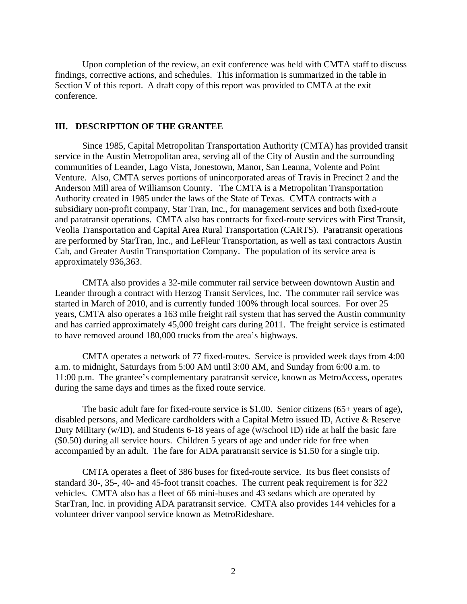Upon completion of the review, an exit conference was held with CMTA staff to discuss findings, corrective actions, and schedules. This information is summarized in the table in Section V of this report. A draft copy of this report was provided to CMTA at the exit conference.

#### **III. DESCRIPTION OF THE GRANTEE**

Since 1985, Capital Metropolitan Transportation Authority (CMTA) has provided transit service in the Austin Metropolitan area, serving all of the City of Austin and the surrounding communities of Leander, Lago Vista, Jonestown, Manor, San Leanna, Volente and Point Venture. Also, CMTA serves portions of unincorporated areas of Travis in Precinct 2 and the Anderson Mill area of Williamson County. The CMTA is a Metropolitan Transportation Authority created in 1985 under the laws of the State of Texas. CMTA contracts with a subsidiary non-profit company, Star Tran, Inc., for management services and both fixed-route and paratransit operations. CMTA also has contracts for fixed-route services with First Transit, Veolia Transportation and Capital Area Rural Transportation (CARTS). Paratransit operations are performed by StarTran, Inc., and LeFleur Transportation, as well as taxi contractors Austin Cab, and Greater Austin Transportation Company. The population of its service area is approximately 936,363.

CMTA also provides a 32-mile commuter rail service between downtown Austin and Leander through a contract with Herzog Transit Services, Inc. The commuter rail service was started in March of 2010, and is currently funded 100% through local sources. For over 25 years, CMTA also operates a 163 mile freight rail system that has served the Austin community and has carried approximately 45,000 freight cars during 2011. The freight service is estimated to have removed around 180,000 trucks from the area's highways.

CMTA operates a network of 77 fixed-routes. Service is provided week days from 4:00 a.m. to midnight, Saturdays from 5:00 AM until 3:00 AM, and Sunday from 6:00 a.m. to 11:00 p.m. The grantee's complementary paratransit service, known as MetroAccess, operates during the same days and times as the fixed route service.

The basic adult fare for fixed-route service is \$1.00. Senior citizens (65+ years of age), disabled persons, and Medicare cardholders with a Capital Metro issued ID, Active & Reserve Duty Military (w/ID), and Students 6-18 years of age (w/school ID) ride at half the basic fare (\$0.50) during all service hours. Children 5 years of age and under ride for free when accompanied by an adult. The fare for ADA paratransit service is \$1.50 for a single trip.

CMTA operates a fleet of 386 buses for fixed-route service. Its bus fleet consists of standard 30-, 35-, 40- and 45-foot transit coaches. The current peak requirement is for 322 vehicles. CMTA also has a fleet of 66 mini-buses and 43 sedans which are operated by StarTran, Inc. in providing ADA paratransit service. CMTA also provides 144 vehicles for a volunteer driver vanpool service known as MetroRideshare.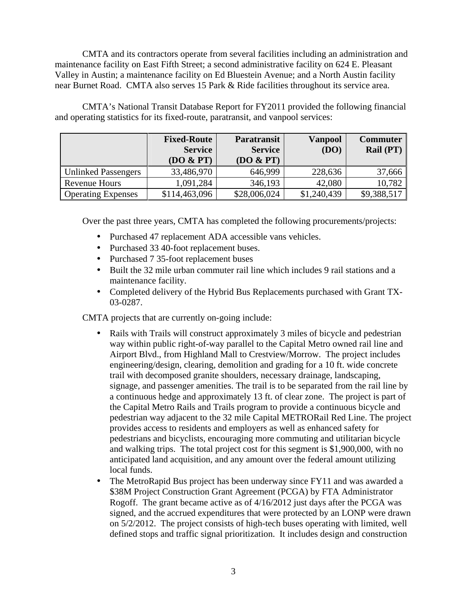CMTA and its contractors operate from several facilities including an administration and maintenance facility on East Fifth Street; a second administrative facility on 624 E. Pleasant Valley in Austin; a maintenance facility on Ed Bluestein Avenue; and a North Austin facility near Burnet Road. CMTA also serves 15 Park & Ride facilities throughout its service area.

CMTA's National Transit Database Report for FY2011 provided the following financial and operating statistics for its fixed-route, paratransit, and vanpool services:

|                            | <b>Fixed-Route</b><br><b>Service</b><br>(DO & PT) | <b>Paratransit</b><br><b>Service</b><br>(DO & PT) | <b>Vanpool</b><br>(DO) | <b>Commuter</b><br>Rail (PT) |
|----------------------------|---------------------------------------------------|---------------------------------------------------|------------------------|------------------------------|
| <b>Unlinked Passengers</b> | 33,486,970                                        | 646,999                                           | 228,636                | 37,666                       |
| Revenue Hours              | 1,091,284                                         | 346,193                                           | 42,080                 | 10,782                       |
| <b>Operating Expenses</b>  | \$114,463,096                                     | \$28,006,024                                      | \$1,240,439            | \$9,388,517                  |

Over the past three years, CMTA has completed the following procurements/projects:

- Purchased 47 replacement ADA accessible vans vehicles.
- Purchased 33 40-foot replacement buses.
- Purchased 7 35-foot replacement buses
- Built the 32 mile urban commuter rail line which includes 9 rail stations and a maintenance facility.
- Completed delivery of the Hybrid Bus Replacements purchased with Grant TX-03-0287.

CMTA projects that are currently on-going include:

- Rails with Trails will construct approximately 3 miles of bicycle and pedestrian way within public right-of-way parallel to the Capital Metro owned rail line and Airport Blvd., from Highland Mall to Crestview/Morrow. The project includes engineering/design, clearing, demolition and grading for a 10 ft. wide concrete trail with decomposed granite shoulders, necessary drainage, landscaping, signage, and passenger amenities. The trail is to be separated from the rail line by a continuous hedge and approximately 13 ft. of clear zone. The project is part of the Capital Metro Rails and Trails program to provide a continuous bicycle and pedestrian way adjacent to the 32 mile Capital METRORail Red Line. The project provides access to residents and employers as well as enhanced safety for pedestrians and bicyclists, encouraging more commuting and utilitarian bicycle and walking trips. The total project cost for this segment is \$1,900,000, with no anticipated land acquisition, and any amount over the federal amount utilizing local funds.
- The MetroRapid Bus project has been underway since FY11 and was awarded a \$38M Project Construction Grant Agreement (PCGA) by FTA Administrator Rogoff. The grant became active as of 4/16/2012 just days after the PCGA was signed, and the accrued expenditures that were protected by an LONP were drawn on 5/2/2012. The project consists of high-tech buses operating with limited, well defined stops and traffic signal prioritization. It includes design and construction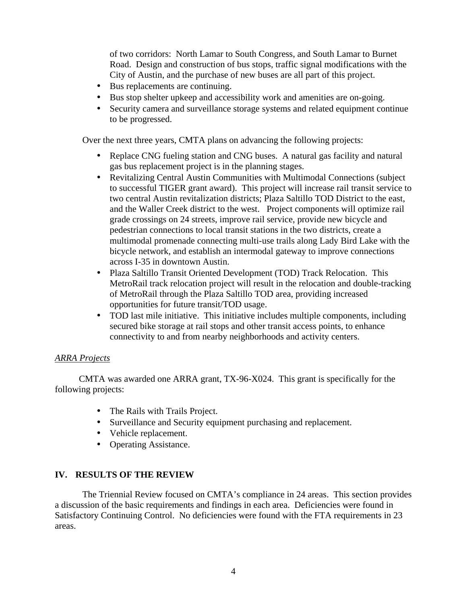of two corridors: North Lamar to South Congress, and South Lamar to Burnet Road. Design and construction of bus stops, traffic signal modifications with the City of Austin, and the purchase of new buses are all part of this project.

- Bus replacements are continuing.
- Bus stop shelter upkeep and accessibility work and amenities are on-going.
- Security camera and surveillance storage systems and related equipment continue to be progressed.

Over the next three years, CMTA plans on advancing the following projects:

- Replace CNG fueling station and CNG buses.A natural gas facility and natural gas bus replacement project is in the planning stages.
- Revitalizing Central Austin Communities with Multimodal Connections (subject to successful TIGER grant award). This project will increase rail transit service to two central Austin revitalization districts; Plaza Saltillo TOD District to the east, and the Waller Creek district to the west. Project components will optimize rail grade crossings on 24 streets, improve rail service, provide new bicycle and pedestrian connections to local transit stations in the two districts, create a multimodal promenade connecting multi-use trails along Lady Bird Lake with the bicycle network, and establish an intermodal gateway to improve connections across I-35 in downtown Austin.
- Plaza Saltillo Transit Oriented Development (TOD) Track Relocation. This MetroRail track relocation project will result in the relocation and double-tracking of MetroRail through the Plaza Saltillo TOD area, providing increased opportunities for future transit/TOD usage.
- TOD last mile initiative. This initiative includes multiple components, including secured bike storage at rail stops and other transit access points, to enhance connectivity to and from nearby neighborhoods and activity centers.

#### *ARRA Projects*

CMTA was awarded one ARRA grant, TX-96-X024. This grant is specifically for the following projects:

- The Rails with Trails Project.
- Surveillance and Security equipment purchasing and replacement.
- Vehicle replacement.
- Operating Assistance.

## **IV. RESULTS OF THE REVIEW**

The Triennial Review focused on CMTA's compliance in 24 areas. This section provides a discussion of the basic requirements and findings in each area. Deficiencies were found in Satisfactory Continuing Control. No deficiencies were found with the FTA requirements in 23 areas.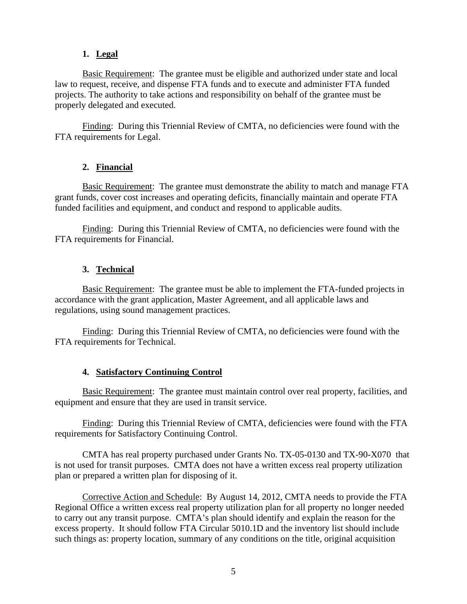### **1. Legal**

Basic Requirement: The grantee must be eligible and authorized under state and local law to request, receive, and dispense FTA funds and to execute and administer FTA funded projects. The authority to take actions and responsibility on behalf of the grantee must be properly delegated and executed.

Finding: During this Triennial Review of CMTA, no deficiencies were found with the FTA requirements for Legal.

### **2. Financial**

Basic Requirement: The grantee must demonstrate the ability to match and manage FTA grant funds, cover cost increases and operating deficits, financially maintain and operate FTA funded facilities and equipment, and conduct and respond to applicable audits.

Finding: During this Triennial Review of CMTA, no deficiencies were found with the FTA requirements for Financial.

### **3. Technical**

Basic Requirement: The grantee must be able to implement the FTA-funded projects in accordance with the grant application, Master Agreement, and all applicable laws and regulations, using sound management practices.

Finding: During this Triennial Review of CMTA, no deficiencies were found with the FTA requirements for Technical.

## **4. Satisfactory Continuing Control**

Basic Requirement: The grantee must maintain control over real property, facilities, and equipment and ensure that they are used in transit service.

Finding: During this Triennial Review of CMTA, deficiencies were found with the FTA requirements for Satisfactory Continuing Control.

CMTA has real property purchased under Grants No. TX-05-0130 and TX-90-X070 that is not used for transit purposes. CMTA does not have a written excess real property utilization plan or prepared a written plan for disposing of it.

Corrective Action and Schedule: By August 14, 2012, CMTA needs to provide the FTA Regional Office a written excess real property utilization plan for all property no longer needed to carry out any transit purpose. CMTA's plan should identify and explain the reason for the excess property. It should follow FTA Circular 5010.1D and the inventory list should include such things as: property location, summary of any conditions on the title, original acquisition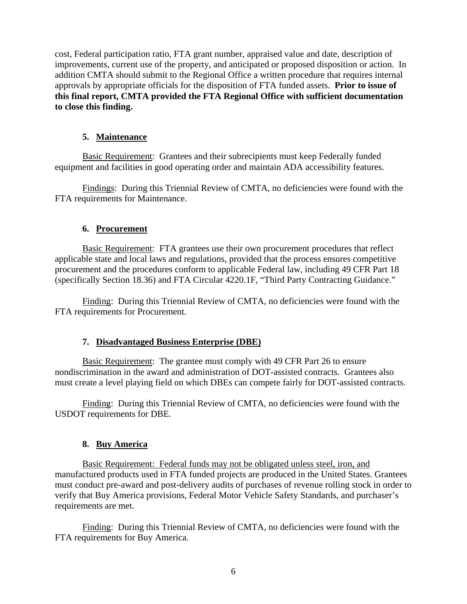cost, Federal participation ratio, FTA grant number, appraised value and date, description of improvements, current use of the property, and anticipated or proposed disposition or action. In addition CMTA should submit to the Regional Office a written procedure that requires internal approvals by appropriate officials for the disposition of FTA funded assets. **Prior to issue of this final report, CMTA provided the FTA Regional Office with sufficient documentation to close this finding.**

### **5. Maintenance**

Basic Requirement: Grantees and their subrecipients must keep Federally funded equipment and facilities in good operating order and maintain ADA accessibility features.

Findings: During this Triennial Review of CMTA, no deficiencies were found with the FTA requirements for Maintenance.

### **6. Procurement**

Basic Requirement: FTA grantees use their own procurement procedures that reflect applicable state and local laws and regulations, provided that the process ensures competitive procurement and the procedures conform to applicable Federal law, including 49 CFR Part 18 (specifically Section 18.36) and FTA Circular 4220.1F, "Third Party Contracting Guidance."

Finding: During this Triennial Review of CMTA, no deficiencies were found with the FTA requirements for Procurement.

## **7. Disadvantaged Business Enterprise (DBE)**

Basic Requirement: The grantee must comply with 49 CFR Part 26 to ensure nondiscrimination in the award and administration of DOT-assisted contracts. Grantees also must create a level playing field on which DBEs can compete fairly for DOT-assisted contracts.

Finding: During this Triennial Review of CMTA, no deficiencies were found with the USDOT requirements for DBE.

## **8. Buy America**

Basic Requirement: Federal funds may not be obligated unless steel, iron, and manufactured products used in FTA funded projects are produced in the United States. Grantees must conduct pre-award and post-delivery audits of purchases of revenue rolling stock in order to verify that Buy America provisions, Federal Motor Vehicle Safety Standards, and purchaser's requirements are met.

Finding: During this Triennial Review of CMTA, no deficiencies were found with the FTA requirements for Buy America.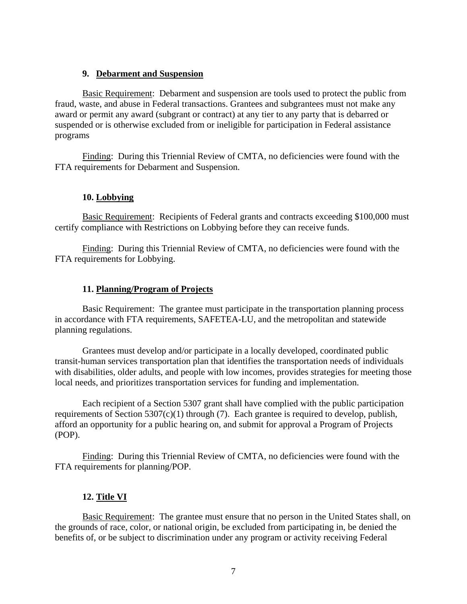#### **9. Debarment and Suspension**

Basic Requirement: Debarment and suspension are tools used to protect the public from fraud, waste, and abuse in Federal transactions. Grantees and subgrantees must not make any award or permit any award (subgrant or contract) at any tier to any party that is debarred or suspended or is otherwise excluded from or ineligible for participation in Federal assistance programs

Finding: During this Triennial Review of CMTA, no deficiencies were found with the FTA requirements for Debarment and Suspension.

#### **10. Lobbying**

Basic Requirement: Recipients of Federal grants and contracts exceeding \$100,000 must certify compliance with Restrictions on Lobbying before they can receive funds.

Finding: During this Triennial Review of CMTA, no deficiencies were found with the FTA requirements for Lobbying.

#### **11. Planning/Program of Projects**

Basic Requirement: The grantee must participate in the transportation planning process in accordance with FTA requirements, SAFETEA-LU, and the metropolitan and statewide planning regulations.

Grantees must develop and/or participate in a locally developed, coordinated public transit-human services transportation plan that identifies the transportation needs of individuals with disabilities, older adults, and people with low incomes, provides strategies for meeting those local needs, and prioritizes transportation services for funding and implementation.

Each recipient of a Section 5307 grant shall have complied with the public participation requirements of Section  $5307(c)(1)$  through (7). Each grantee is required to develop, publish, afford an opportunity for a public hearing on, and submit for approval a Program of Projects (POP).

Finding: During this Triennial Review of CMTA, no deficiencies were found with the FTA requirements for planning/POP.

#### **12. Title VI**

Basic Requirement: The grantee must ensure that no person in the United States shall, on the grounds of race, color, or national origin, be excluded from participating in, be denied the benefits of, or be subject to discrimination under any program or activity receiving Federal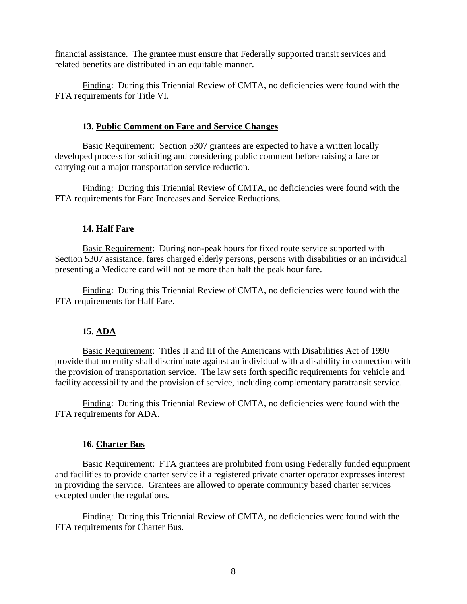financial assistance. The grantee must ensure that Federally supported transit services and related benefits are distributed in an equitable manner.

Finding: During this Triennial Review of CMTA, no deficiencies were found with the FTA requirements for Title VI.

#### **13. Public Comment on Fare and Service Changes**

Basic Requirement: Section 5307 grantees are expected to have a written locally developed process for soliciting and considering public comment before raising a fare or carrying out a major transportation service reduction.

Finding: During this Triennial Review of CMTA, no deficiencies were found with the FTA requirements for Fare Increases and Service Reductions.

#### **14. Half Fare**

Basic Requirement: During non-peak hours for fixed route service supported with Section 5307 assistance, fares charged elderly persons, persons with disabilities or an individual presenting a Medicare card will not be more than half the peak hour fare.

Finding: During this Triennial Review of CMTA, no deficiencies were found with the FTA requirements for Half Fare.

#### **15. ADA**

Basic Requirement: Titles II and III of the Americans with Disabilities Act of 1990 provide that no entity shall discriminate against an individual with a disability in connection with the provision of transportation service. The law sets forth specific requirements for vehicle and facility accessibility and the provision of service, including complementary paratransit service.

Finding: During this Triennial Review of CMTA, no deficiencies were found with the FTA requirements for ADA.

#### **16. Charter Bus**

Basic Requirement: FTA grantees are prohibited from using Federally funded equipment and facilities to provide charter service if a registered private charter operator expresses interest in providing the service. Grantees are allowed to operate community based charter services excepted under the regulations.

Finding: During this Triennial Review of CMTA, no deficiencies were found with the FTA requirements for Charter Bus.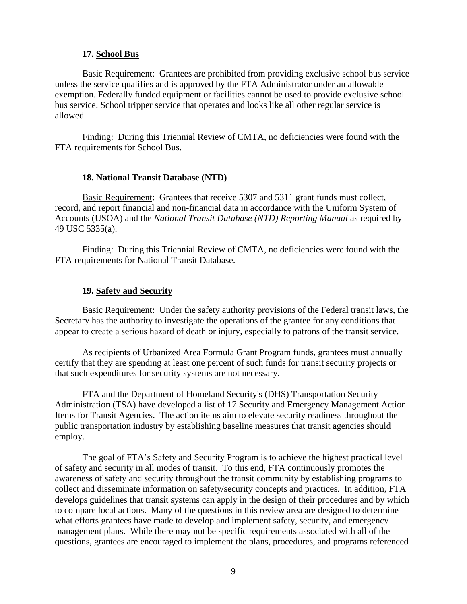#### **17. School Bus**

Basic Requirement: Grantees are prohibited from providing exclusive school bus service unless the service qualifies and is approved by the FTA Administrator under an allowable exemption. Federally funded equipment or facilities cannot be used to provide exclusive school bus service. School tripper service that operates and looks like all other regular service is allowed.

Finding: During this Triennial Review of CMTA, no deficiencies were found with the FTA requirements for School Bus.

#### **18. National Transit Database (NTD)**

Basic Requirement: Grantees that receive 5307 and 5311 grant funds must collect, record, and report financial and non-financial data in accordance with the Uniform System of Accounts (USOA) and the *National Transit Database (NTD) Reporting Manual* as required by 49 USC 5335(a).

Finding: During this Triennial Review of CMTA, no deficiencies were found with the FTA requirements for National Transit Database.

#### **19. Safety and Security**

Basic Requirement: Under the safety authority provisions of the Federal transit laws, the Secretary has the authority to investigate the operations of the grantee for any conditions that appear to create a serious hazard of death or injury, especially to patrons of the transit service.

As recipients of Urbanized Area Formula Grant Program funds, grantees must annually certify that they are spending at least one percent of such funds for transit security projects or that such expenditures for security systems are not necessary.

FTA and the Department of Homeland Security's (DHS) Transportation Security Administration (TSA) have developed a list of 17 Security and Emergency Management Action Items for Transit Agencies. The action items aim to elevate security readiness throughout the public transportation industry by establishing baseline measures that transit agencies should employ.

The goal of FTA's Safety and Security Program is to achieve the highest practical level of safety and security in all modes of transit. To this end, FTA continuously promotes the awareness of safety and security throughout the transit community by establishing programs to collect and disseminate information on safety/security concepts and practices. In addition, FTA develops guidelines that transit systems can apply in the design of their procedures and by which to compare local actions. Many of the questions in this review area are designed to determine what efforts grantees have made to develop and implement safety, security, and emergency management plans. While there may not be specific requirements associated with all of the questions, grantees are encouraged to implement the plans, procedures, and programs referenced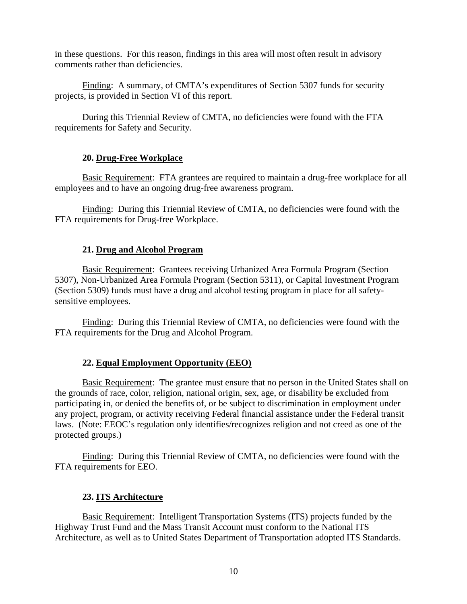in these questions. For this reason, findings in this area will most often result in advisory comments rather than deficiencies.

Finding: A summary, of CMTA's expenditures of Section 5307 funds for security projects, is provided in Section VI of this report.

During this Triennial Review of CMTA, no deficiencies were found with the FTA requirements for Safety and Security.

#### **20. Drug-Free Workplace**

Basic Requirement: FTA grantees are required to maintain a drug-free workplace for all employees and to have an ongoing drug-free awareness program.

Finding: During this Triennial Review of CMTA, no deficiencies were found with the FTA requirements for Drug-free Workplace.

### **21. Drug and Alcohol Program**

Basic Requirement: Grantees receiving Urbanized Area Formula Program (Section 5307), Non-Urbanized Area Formula Program (Section 5311), or Capital Investment Program (Section 5309) funds must have a drug and alcohol testing program in place for all safetysensitive employees.

Finding: During this Triennial Review of CMTA, no deficiencies were found with the FTA requirements for the Drug and Alcohol Program.

## **22. Equal Employment Opportunity (EEO)**

Basic Requirement: The grantee must ensure that no person in the United States shall on the grounds of race, color, religion, national origin, sex, age, or disability be excluded from participating in, or denied the benefits of, or be subject to discrimination in employment under any project, program, or activity receiving Federal financial assistance under the Federal transit laws. (Note: EEOC's regulation only identifies/recognizes religion and not creed as one of the protected groups.)

Finding: During this Triennial Review of CMTA, no deficiencies were found with the FTA requirements for EEO.

#### **23. ITS Architecture**

Basic Requirement: Intelligent Transportation Systems (ITS) projects funded by the Highway Trust Fund and the Mass Transit Account must conform to the National ITS Architecture, as well as to United States Department of Transportation adopted ITS Standards.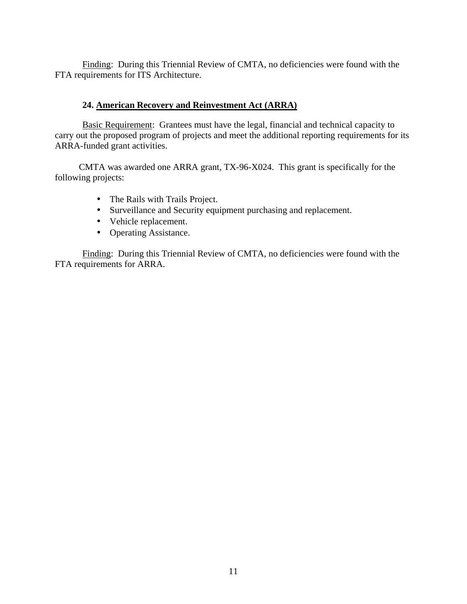Finding: During this Triennial Review of CMTA, no deficiencies were found with the FTA requirements for ITS Architecture.

#### **24. American Recovery and Reinvestment Act (ARRA)**

Basic Requirement: Grantees must have the legal, financial and technical capacity to carry out the proposed program of projects and meet the additional reporting requirements for its ARRA-funded grant activities.

CMTA was awarded one ARRA grant, TX-96-X024. This grant is specifically for the following projects:

- The Rails with Trails Project.
- Surveillance and Security equipment purchasing and replacement.
- Vehicle replacement.
- Operating Assistance.

Finding: During this Triennial Review of CMTA, no deficiencies were found with the FTA requirements for ARRA.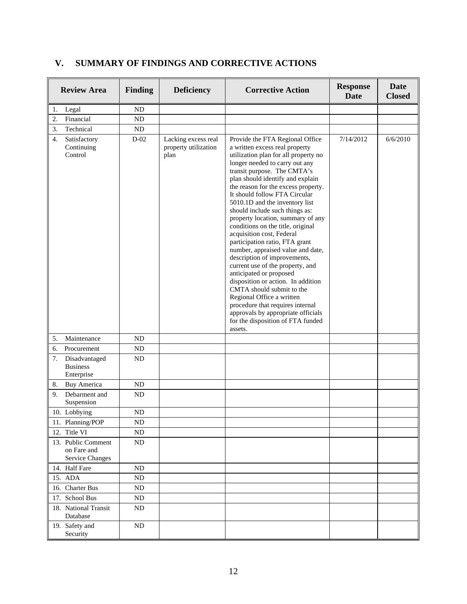| <b>Review Area</b>                                   | <b>Finding</b> | <b>Deficiency</b>                                   | <b>Corrective Action</b>                                                                                                                                                                                                                                                                                                                                                                                                                                                                                                                                                                                                                                                                                                                                                                                                                                          | <b>Response</b><br><b>Date</b> | Date<br><b>Closed</b> |
|------------------------------------------------------|----------------|-----------------------------------------------------|-------------------------------------------------------------------------------------------------------------------------------------------------------------------------------------------------------------------------------------------------------------------------------------------------------------------------------------------------------------------------------------------------------------------------------------------------------------------------------------------------------------------------------------------------------------------------------------------------------------------------------------------------------------------------------------------------------------------------------------------------------------------------------------------------------------------------------------------------------------------|--------------------------------|-----------------------|
| 1.<br>Legal                                          | ND             |                                                     |                                                                                                                                                                                                                                                                                                                                                                                                                                                                                                                                                                                                                                                                                                                                                                                                                                                                   |                                |                       |
| Financial<br>2.                                      | ND             |                                                     |                                                                                                                                                                                                                                                                                                                                                                                                                                                                                                                                                                                                                                                                                                                                                                                                                                                                   |                                |                       |
| Technical<br>3.                                      | ND             |                                                     |                                                                                                                                                                                                                                                                                                                                                                                                                                                                                                                                                                                                                                                                                                                                                                                                                                                                   |                                |                       |
| 4.<br>Satisfactory<br>Continuing<br>Control          | $D-02$         | Lacking excess real<br>property utilization<br>plan | Provide the FTA Regional Office<br>a written excess real property<br>utilization plan for all property no<br>longer needed to carry out any<br>transit purpose. The CMTA's<br>plan should identify and explain<br>the reason for the excess property.<br>It should follow FTA Circular<br>5010.1D and the inventory list<br>should include such things as:<br>property location, summary of any<br>conditions on the title, original<br>acquisition cost, Federal<br>participation ratio, FTA grant<br>number, appraised value and date,<br>description of improvements,<br>current use of the property, and<br>anticipated or proposed<br>disposition or action. In addition<br>CMTA should submit to the<br>Regional Office a written<br>procedure that requires internal<br>approvals by appropriate officials<br>for the disposition of FTA funded<br>assets. | 7/14/2012                      | 6/6/2010              |
| 5.<br>Maintenance                                    | ND             |                                                     |                                                                                                                                                                                                                                                                                                                                                                                                                                                                                                                                                                                                                                                                                                                                                                                                                                                                   |                                |                       |
| 6.<br>Procurement                                    | ND             |                                                     |                                                                                                                                                                                                                                                                                                                                                                                                                                                                                                                                                                                                                                                                                                                                                                                                                                                                   |                                |                       |
| 7.<br>Disadvantaged<br><b>Business</b><br>Enterprise | ND             |                                                     |                                                                                                                                                                                                                                                                                                                                                                                                                                                                                                                                                                                                                                                                                                                                                                                                                                                                   |                                |                       |
| 8.<br><b>Buy America</b>                             | ND             |                                                     |                                                                                                                                                                                                                                                                                                                                                                                                                                                                                                                                                                                                                                                                                                                                                                                                                                                                   |                                |                       |
| 9.<br>Debarment and<br>Suspension                    | ND             |                                                     |                                                                                                                                                                                                                                                                                                                                                                                                                                                                                                                                                                                                                                                                                                                                                                                                                                                                   |                                |                       |
| 10. Lobbying                                         | ND             |                                                     |                                                                                                                                                                                                                                                                                                                                                                                                                                                                                                                                                                                                                                                                                                                                                                                                                                                                   |                                |                       |
| 11. Planning/POP                                     | ND             |                                                     |                                                                                                                                                                                                                                                                                                                                                                                                                                                                                                                                                                                                                                                                                                                                                                                                                                                                   |                                |                       |
| 12. Title VI                                         | ND             |                                                     |                                                                                                                                                                                                                                                                                                                                                                                                                                                                                                                                                                                                                                                                                                                                                                                                                                                                   |                                |                       |
| 13. Public Comment<br>on Fare and<br>Service Changes | ND             |                                                     |                                                                                                                                                                                                                                                                                                                                                                                                                                                                                                                                                                                                                                                                                                                                                                                                                                                                   |                                |                       |
| 14. Half Fare                                        | ND             |                                                     |                                                                                                                                                                                                                                                                                                                                                                                                                                                                                                                                                                                                                                                                                                                                                                                                                                                                   |                                |                       |
| 15. ADA                                              | ND             |                                                     |                                                                                                                                                                                                                                                                                                                                                                                                                                                                                                                                                                                                                                                                                                                                                                                                                                                                   |                                |                       |
| 16. Charter Bus                                      | ND             |                                                     |                                                                                                                                                                                                                                                                                                                                                                                                                                                                                                                                                                                                                                                                                                                                                                                                                                                                   |                                |                       |
| 17. School Bus                                       | ND             |                                                     |                                                                                                                                                                                                                                                                                                                                                                                                                                                                                                                                                                                                                                                                                                                                                                                                                                                                   |                                |                       |
| 18. National Transit<br>Database                     | ND             |                                                     |                                                                                                                                                                                                                                                                                                                                                                                                                                                                                                                                                                                                                                                                                                                                                                                                                                                                   |                                |                       |
| 19. Safety and<br>Security                           | ND             |                                                     |                                                                                                                                                                                                                                                                                                                                                                                                                                                                                                                                                                                                                                                                                                                                                                                                                                                                   |                                |                       |

## **V. SUMMARY OF FINDINGS AND CORRECTIVE ACTIONS**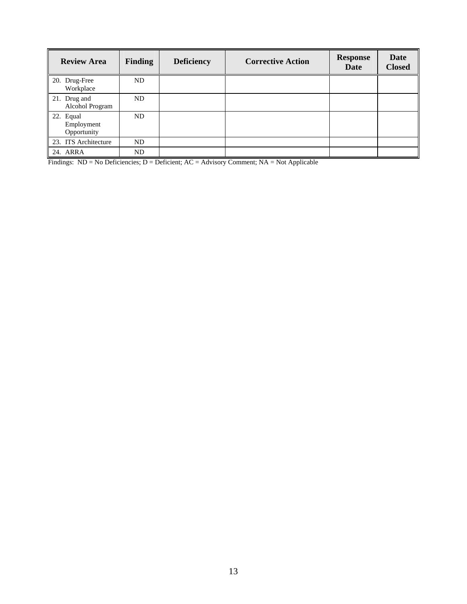| <b>Review Area</b>                     | <b>Finding</b> | <b>Deficiency</b> | <b>Corrective Action</b> | <b>Response</b><br>Date | Date<br><b>Closed</b> |
|----------------------------------------|----------------|-------------------|--------------------------|-------------------------|-----------------------|
| 20. Drug-Free<br>Workplace             | ND.            |                   |                          |                         |                       |
| 21. Drug and<br>Alcohol Program        | ND.            |                   |                          |                         |                       |
| 22. Equal<br>Employment<br>Opportunity | ND             |                   |                          |                         |                       |
| 23. ITS Architecture                   | ND             |                   |                          |                         |                       |
| 24. ARRA                               | ND             |                   |                          |                         |                       |

Findings:  $ND = No$  Deficiencies;  $D = Deficient$ ;  $AC = Advisory$  Comment;  $NA = Not$  Applicable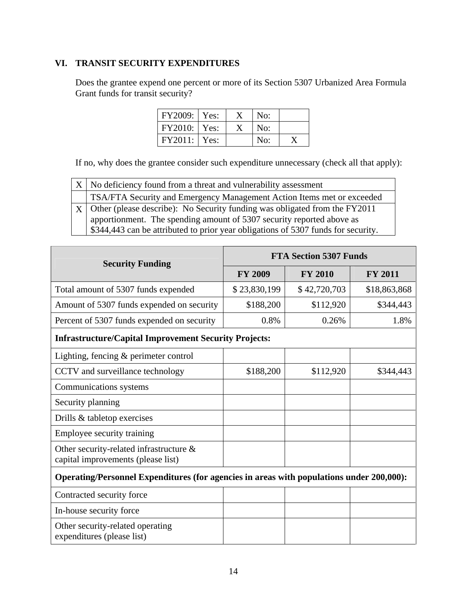## **VI. TRANSIT SECURITY EXPENDITURES**

Does the grantee expend one percent or more of its Section 5307 Urbanized Area Formula Grant funds for transit security?

| FY2009:   Yes: |  | No: |  |
|----------------|--|-----|--|
| $FY2010:$ Yes: |  | No: |  |
| $FY2011:$ Yes: |  | No: |  |

If no, why does the grantee consider such expenditure unnecessary (check all that apply):

| $X \mid$ No deficiency found from a threat and vulnerability assessment           |  |  |
|-----------------------------------------------------------------------------------|--|--|
| TSA/FTA Security and Emergency Management Action Items met or exceeded            |  |  |
| $X$ Other (please describe): No Security funding was obligated from the FY2011    |  |  |
| apportionment. The spending amount of 5307 security reported above as             |  |  |
| \$344,443 can be attributed to prior year obligations of 5307 funds for security. |  |  |

| <b>Security Funding</b>                                                                  | <b>FTA Section 5307 Funds</b> |                |                |
|------------------------------------------------------------------------------------------|-------------------------------|----------------|----------------|
|                                                                                          | <b>FY 2009</b>                | <b>FY 2010</b> | <b>FY 2011</b> |
| Total amount of 5307 funds expended                                                      | \$23,830,199                  | \$42,720,703   | \$18,863,868   |
| Amount of 5307 funds expended on security                                                | \$188,200                     | \$112,920      | \$344,443      |
| Percent of 5307 funds expended on security                                               | 0.8%                          | 0.26%          | 1.8%           |
| <b>Infrastructure/Capital Improvement Security Projects:</b>                             |                               |                |                |
| Lighting, fencing & perimeter control                                                    |                               |                |                |
| CCTV and surveillance technology                                                         | \$188,200                     | \$112,920      | \$344,443      |
| Communications systems                                                                   |                               |                |                |
| Security planning                                                                        |                               |                |                |
| Drills & tabletop exercises                                                              |                               |                |                |
| Employee security training                                                               |                               |                |                |
| Other security-related infrastructure $\&$<br>capital improvements (please list)         |                               |                |                |
| Operating/Personnel Expenditures (for agencies in areas with populations under 200,000): |                               |                |                |
| Contracted security force                                                                |                               |                |                |
| In-house security force                                                                  |                               |                |                |
| Other security-related operating<br>expenditures (please list)                           |                               |                |                |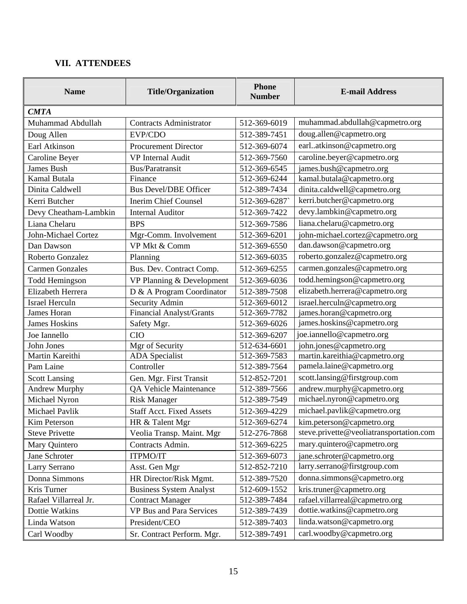## **VII. ATTENDEES**

| <b>Name</b>            | <b>Title/Organization</b>       | <b>Phone</b><br><b>Number</b> | <b>E-mail Address</b>                   |
|------------------------|---------------------------------|-------------------------------|-----------------------------------------|
| <b>CMTA</b>            |                                 |                               |                                         |
| Muhammad Abdullah      | <b>Contracts Administrator</b>  | 512-369-6019                  | muhammad.abdullah@capmetro.org          |
| Doug Allen             | EVP/CDO                         | 512-389-7451                  | doug.allen@capmetro.org                 |
| Earl Atkinson          | <b>Procurement Director</b>     | 512-369-6074                  | earlatkinson@capmetro.org               |
| Caroline Beyer         | <b>VP</b> Internal Audit        | 512-369-7560                  | caroline.beyer@capmetro.org             |
| James Bush             | Bus/Paratransit                 | 512-369-6545                  | james.bush@capmetro.org                 |
| Kamal Butala           | Finance                         | 512-369-6244                  | kamal.butala@capmetro.org               |
| Dinita Caldwell        | <b>Bus Devel/DBE Officer</b>    | 512-389-7434                  | dinita.caldwell@capmetro.org            |
| Kerri Butcher          | <b>Inerim Chief Counsel</b>     | 512-369-6287                  | kerri.butcher@capmetro.org              |
| Devy Cheatham-Lambkin  | <b>Internal Auditor</b>         | 512-369-7422                  | devy.lambkin@capmetro.org               |
| Liana Chelaru          | <b>BPS</b>                      | 512-369-7586                  | liana.chelaru@capmetro.org              |
| John-Michael Cortez    | Mgr-Comm. Involvement           | 512-369-6201                  | john-michael.cortez@capmetro.org        |
| Dan Dawson             | VP Mkt & Comm                   | 512-369-6550                  | dan.dawson@capmetro.org                 |
| Roberto Gonzalez       | Planning                        | 512-369-6035                  | roberto.gonzalez@capmetro.org           |
| <b>Carmen Gonzales</b> | Bus. Dev. Contract Comp.        | 512-369-6255                  | carmen.gonzales@capmetro.org            |
| <b>Todd Hemingson</b>  | VP Planning & Development       | 512-369-6036                  | todd.hemingson@capmetro.org             |
| Elizabeth Herrera      | D & A Program Coordinator       | 512-389-7508                  | elizabeth.herrera@capmetro.org          |
| <b>Israel Herculn</b>  | Security Admin                  | 512-369-6012                  | israel.herculn@capmetro.org             |
| James Horan            | <b>Financial Analyst/Grants</b> | 512-369-7782                  | james.horan@capmetro.org                |
| <b>James Hoskins</b>   | Safety Mgr.                     | 512-369-6026                  | james.hoskins@capmetro.org              |
| Joe Iannello           | <b>CIO</b>                      | 512-369-6207                  | joe.iannello@capmetro.org               |
| John Jones             | Mgr of Security                 | 512-634-6601                  | john.jones@capmetro.org                 |
| Martin Kareithi        | <b>ADA</b> Specialist           | 512-369-7583                  | martin.kareithia@capmetro.org           |
| Pam Laine              | Controller                      | 512-389-7564                  | pamela.laine@capmetro.org               |
| <b>Scott Lansing</b>   | Gen. Mgr. First Transit         | 512-852-7201                  | scott.lansing@firstgroup.com            |
| <b>Andrew Murphy</b>   | QA Vehicle Maintenance          | 512-389-7566                  | andrew.murphy@capmetro.org              |
| Michael Nyron          | <b>Risk Manager</b>             | 512-389-7549                  | michael.nyron@capmetro.org              |
| Michael Pavlik         | <b>Staff Acct. Fixed Assets</b> | 512-369-4229                  | michael.pavlik@capmetro.org             |
| Kim Peterson           | HR & Talent Mgr                 | 512-369-6274                  | kim.peterson@capmetro.org               |
| <b>Steve Privette</b>  | Veolia Transp. Maint. Mgr       | 512-276-7868                  | steve.privette@veoliatransportation.com |
| Mary Quintero          | Contracts Admin.                | 512-369-6225                  | mary.quintero@capmetro.org              |
| Jane Schroter          | <b>ITPMO/IT</b>                 | 512-369-6073                  | jane.schroter@capmetro.org              |
| Larry Serrano          | Asst. Gen Mgr                   | 512-852-7210                  | larry.serrano@firstgroup.com            |
| Donna Simmons          | HR Director/Risk Mgmt.          | 512-389-7520                  | donna.simmons@capmetro.org              |
| Kris Turner            | <b>Business System Analyst</b>  | 512-609-1552                  | kris.truner@capmetro.org                |
| Rafael Villarreal Jr.  | <b>Contract Manager</b>         | 512-389-7484                  | rafael.villarreal@capmetro.org          |
| Dottie Watkins         | VP Bus and Para Services        | 512-389-7439                  | dottie.watkins@capmetro.org             |
| Linda Watson           | President/CEO                   | 512-389-7403                  | linda.watson@capmetro.org               |
| Carl Woodby            | Sr. Contract Perform. Mgr.      | 512-389-7491                  | carl.woodby@capmetro.org                |